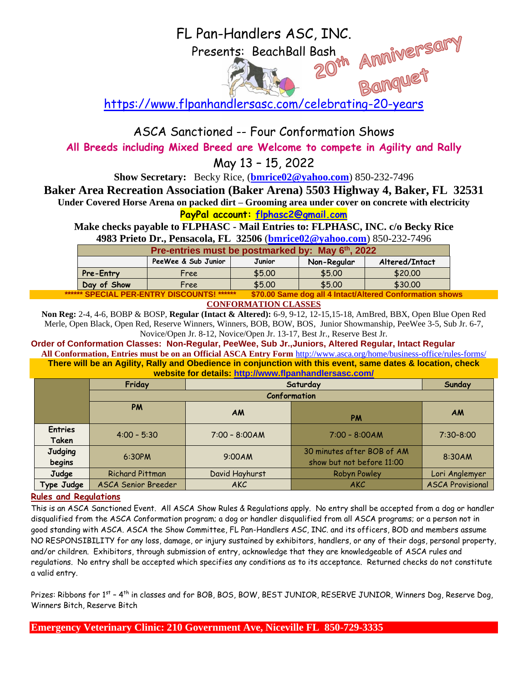## FL Pan-Handlers ASC, INC.<br>Presents: BeachBall Bash<br>20<sup>th</sup> AMMIVET<br>Float Presents: BeachBall Bash

<https://www.flpanhandlersasc.com/celebrating-20-years>

ASCA Sanctioned -- Four Conformation Shows

**All Breeds including Mixed Breed are Welcome to compete in Agility and Rally**

May 13 – 15, 2022

**Show Secretary:** Becky Rice, (**[bmrice02@yahoo.com](mailto:bmrice02@yahoo.com)**) 850-232-7496

**Baker Area Recreation Association (Baker Arena) 5503 Highway 4, Baker, FL 32531**

**Under Covered Horse Arena on packed dirt – Grooming area under cover on concrete with electricity**

**PayPal account: [flphasc2@gmail.com](mailto:flphasc2@gmail.com)**

**Make checks payable to FLPHASC - Mail Entries to: FLPHASC, INC. c/o Becky Rice 4983 Prieto Dr., Pensacola, FL 32506** (**[bmrice02@yahoo.com](mailto:bmrice02@yahoo.com)**) 850-232-7496

| Pre-entries must be postmarked by: May 6th, 2022                                                                                                                                                                                                        |                     |        |             |                |  |  |
|---------------------------------------------------------------------------------------------------------------------------------------------------------------------------------------------------------------------------------------------------------|---------------------|--------|-------------|----------------|--|--|
|                                                                                                                                                                                                                                                         | PeeWee & Sub Junior | Junior | Non-Regular | Altered/Intact |  |  |
| <b>Pre-Entry</b>                                                                                                                                                                                                                                        | Free                | \$5.00 | \$5.00      | \$20.00        |  |  |
| Day of Show                                                                                                                                                                                                                                             | Free                | \$5.00 | \$5.00      | \$30.00        |  |  |
| ------<br>. . <b>.</b><br>the company of the company of the company of the company of the company of the company of the company of the company of the company of the company of the company of the company of the company of the company of the company |                     |        |             |                |  |  |

 $\$70.00$  Same dog all 4 Intact/Altered Conformation shows **CONFORMATION CLASSES**

**Non Reg:** 2-4, 4-6, BOBP & BOSP, **Regular (Intact & Altered):** 6-9, 9-12, 12-15,15-18, AmBred, BBX, Open Blue Open Red Merle, Open Black, Open Red, Reserve Winners, Winners, BOB, BOW, BOS, Junior Showmanship, PeeWee 3-5, Sub Jr. 6-7, Novice/Open Jr. 8-12, Novice/Open Jr. 13-17, Best Jr., Reserve Best Jr.

**Order of Conformation Classes: Non-Regular, PeeWee, Sub Jr.,Juniors, Altered Regular, Intact Regular**

**All Conformation, Entries must be on an Official ASCA Entry Form** <http://www.asca.org/home/business-office/rules-forms/> **There will be an Agility, Rally and Obedience in conjunction with this event, same dates & location, check website for details:<http://www.flpanhandlersasc.com/>**

|                          | Friday                 | Saturday        |                                                         | Sunday                  |  |  |
|--------------------------|------------------------|-----------------|---------------------------------------------------------|-------------------------|--|--|
|                          | Conformation           |                 |                                                         |                         |  |  |
|                          | PM                     | <b>AM</b>       | <b>PM</b>                                               | <b>AM</b>               |  |  |
| <b>Entries</b><br>Taken  | $4:00 - 5:30$          | $7:00 - 8:00AM$ | $7:00 - 8:00AM$                                         | $7:30 - 8:00$           |  |  |
| <b>Judging</b><br>begins | 6:30PM                 | 9:00AM          | 30 minutes after BOB of AM<br>show but not before 11:00 | 8:30AM                  |  |  |
| Judge                    | <b>Richard Pittman</b> | David Hayhurst  | <b>Robyn Powley</b>                                     | Lori Anglemyer          |  |  |
| Type Judge               | ASCA Senior Breeder    | <b>AKC</b>      | <b>AKC</b>                                              | <b>ASCA Provisional</b> |  |  |

## **Rules and Regulations**

This is an ASCA Sanctioned Event. All ASCA Show Rules & Regulations apply. No entry shall be accepted from a dog or handler disqualified from the ASCA Conformation program; a dog or handler disqualified from all ASCA programs; or a person not in good standing with ASCA. ASCA the Show Committee, FL Pan-Handlers ASC, INC. and its officers, BOD and members assume NO RESPONSIBILITY for any loss, damage, or injury sustained by exhibitors, handlers, or any of their dogs, personal property, and/or children. Exhibitors, through submission of entry, acknowledge that they are knowledgeable of ASCA rules and regulations. No entry shall be accepted which specifies any conditions as to its acceptance. Returned checks do not constitute a valid entry.

Prizes: Ribbons for 1<sup>st</sup> – 4<sup>th</sup> in classes and for BOB, BOS, BOW, BEST JUNIOR, RESERVE JUNIOR, Winners Dog, Reserve Dog, Winners Bitch, Reserve Bitch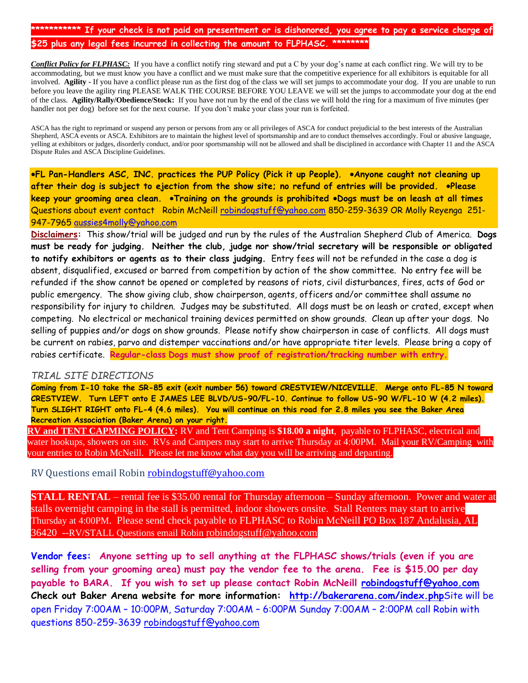## **\*\*\*\*\*\*\*\*\*\*\* If your check is not paid on presentment or is dishonored, you agree to pay a service charge of**  \$25 plus any legal fees incurred in collecting the amount to FLPHASC

*Conflict Policy for FLPHASC:* If you have a conflict notify ring steward and put a C by your dog's name at each conflict ring. We will try to be accommodating, but we must know you have a conflict and we must make sure that the competitive experience for all exhibitors is equitable for all involved. **Agility -** If you have a conflict please run as the first dog of the class we will set jumps to accommodate your dog. If you are unable to run before you leave the agility ring PLEASE WALK THE COURSE BEFORE YOU LEAVE we will set the jumps to accommodate your dog at the end of the class. **Agility/Rally/Obedience/Stock:** If you have not run by the end of the class we will hold the ring for a maximum of five minutes (per handler not per dog) before set for the next course. If you don't make your class your run is forfeited.

ASCA has the right to reprimand or suspend any person or persons from any or all privileges of ASCA for conduct prejudicial to the best interests of the Australian Shepherd, ASCA events or ASCA. Exhibitors are to maintain the highest level of sportsmanship and are to conduct themselves accordingly. Foul or abusive language, yelling at exhibitors or judges, disorderly conduct, and/or poor sportsmanship will not be allowed and shall be disciplined in accordance with Chapter 11 and the ASCA Dispute Rules and ASCA Discipline Guidelines.

•**FL Pan-Handlers ASC, INC. practices the PUP Policy (Pick it up People).** •**Anyone caught not cleaning up after their dog is subject to ejection from the show site; no refund of entries will be provided.** •**Please keep your grooming area clean.** •**Training on the grounds is prohibited** •**Dogs must be on leash at all times**  Questions about event contact Robin McNeill [robindogstuff@yahoo.com](mailto:robindogstuff@cox.net) 850-259-3639 OR Molly Reyenga 251- 947-7965 [aussies4molly@yahoo.com](mailto:aussies4molly@yahoo.com)

**Disclaimers:** This show/trial will be judged and run by the rules of the Australian Shepherd Club of America. **Dogs must be ready for judging. Neither the club, judge nor show/trial secretary will be responsible or obligated to notify exhibitors or agents as to their class judging.** Entry fees will not be refunded in the case a dog is absent, disqualified, excused or barred from competition by action of the show committee. No entry fee will be refunded if the show cannot be opened or completed by reasons of riots, civil disturbances, fires, acts of God or public emergency. The show giving club, show chairperson, agents, officers and/or committee shall assume no responsibility for injury to children. Judges may be substituted. All dogs must be on leash or crated, except when competing. No electrical or mechanical training devices permitted on show grounds. Clean up after your dogs. No selling of puppies and/or dogs on show grounds. Please notify show chairperson in case of conflicts. All dogs must be current on rabies, parvo and distemper vaccinations and/or have appropriate titer levels. Please bring a copy of rabies certificate. **Regular-class Dogs must show proof of registration/tracking number with entry.**

## *TRIAL SITE DIRECTIONS*

**Coming from I-10 take the SR-85 exit (exit number 56) toward CRESTVIEW/NICEVILLE. Merge onto FL-85 N toward CRESTVIEW. Turn LEFT onto E JAMES LEE BLVD/US-90/FL-10. Continue to follow US-90 W/FL-10 W (4.2 miles). Turn SLIGHT RIGHT onto FL-4 (4.6 miles). You will continue on this road for 2.8 miles you see the Baker Area Recreation Association (Baker Arena) on your right.**

**RV and TENT CAPMING POLICY:** RV and Tent Camping is **\$18.00 a night**, payable to FLPHASC, electrical and water hookups, showers on site. RVs and Campers may start to arrive Thursday at 4:00PM. Mail your RV/Camping with your entries to Robin McNeill. Please let me know what day you will be arriving and departing.

RV Questions email Robin [robindogstuff@yahoo.com](mailto:robindogstuff@yahoo.com)

**STALL RENTAL** – rental fee is \$35.00 rental for Thursday afternoon – Sunday afternoon. Power and water at stalls overnight camping in the stall is permitted, indoor showers onsite. Stall Renters may start to arrive Thursday at 4:00PM. Please send check payable to FLPHASC to Robin McNeill PO Box 187 Andalusia, AL 36420 --RV/STALL Questions email Robin [robindogstuff@yahoo.com](mailto:robindogstuff@yahoo.com)

**Vendor fees: Anyone setting up to sell anything at the FLPHASC shows/trials (even if you are selling from your grooming area) must pay the vendor fee to the arena. Fee is \$15.00 per day payable to BARA. If you wish to set up please contact Robin McNeill [robindogstuff@yahoo.com](mailto:robindogstuff@yahoo.com) Check out Baker Arena website for more information: <http://bakerarena.com/index.php>**Site will be open Friday 7:00AM – 10:00PM, Saturday 7:00AM – 6:00PM Sunday 7:00AM – 2:00PM call Robin with questions 850-259-3639 [robindogstuff@yahoo.com](mailto:robindogstuff@yahoo.com)